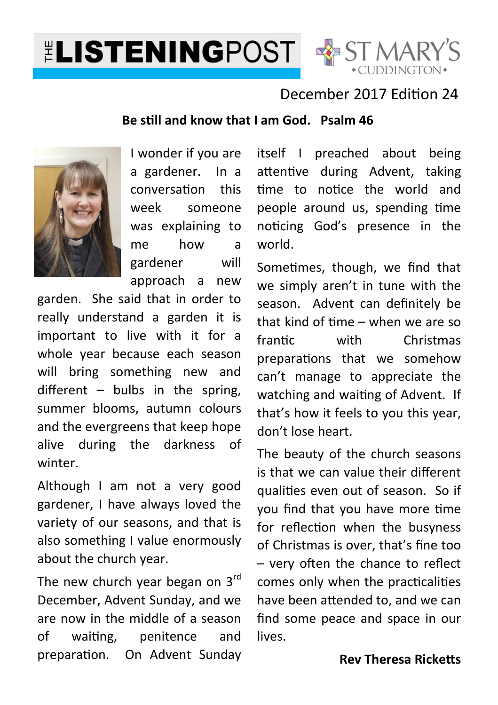# **ELISTENINGPOST & ST MARY'S**



### December 2017 Edition 24

#### **Be sll and know that I am God. Psalm 46**



I wonder if you are a gardener. In a conversation this week someone was explaining to me how a gardener will approach a new

garden. She said that in order to really understand a garden it is important to live with it for a whole year because each season will bring something new and different  $-$  bulbs in the spring, summer blooms, autumn colours and the evergreens that keep hope alive during the darkness of winter.

Although I am not a very good gardener, I have always loved the variety of our seasons, and that is also something I value enormously about the church year.

The new church year began on  $3<sup>rd</sup>$ December, Advent Sunday, and we are now in the middle of a season of waiting, penitence and preparation. On Advent Sunday itself I preached about being attentive during Advent, taking time to notice the world and people around us, spending time noticing God's presence in the world.

Sometimes, though, we find that we simply aren't in tune with the season. Advent can definitely be that kind of time  $-$  when we are so frantic with Christmas preparations that we somehow can't manage to appreciate the watching and waiting of Advent. If that's how it feels to you this year, don't lose heart.

The beauty of the church seasons is that we can value their different qualities even out of season. So if you find that you have more time for reflection when the busyness of Christmas is over, that's fine too  $-$  very often the chance to reflect comes only when the practicalities have been attended to, and we can find some peace and space in our lives.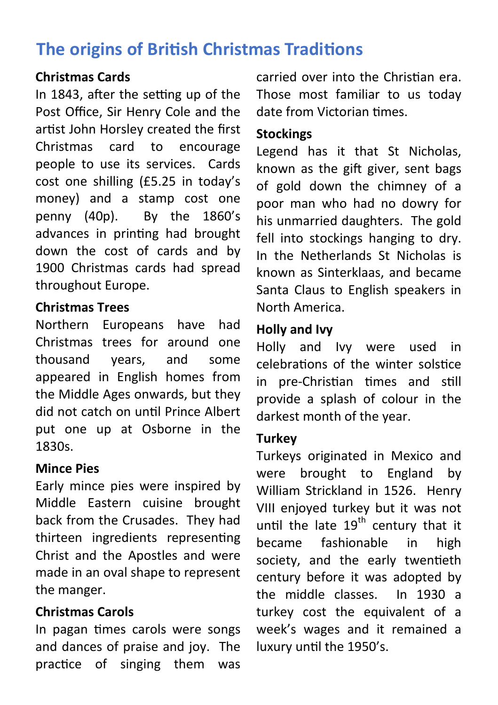# **The origins of British Christmas Traditions**

#### **Christmas Cards**

In 1843, after the setting up of the Post Office, Sir Henry Cole and the artist John Horsley created the first Christmas card to encourage people to use its services. Cards cost one shilling (£5.25 in today's money) and a stamp cost one penny (40p). By the 1860's advances in printing had brought down the cost of cards and by 1900 Christmas cards had spread throughout Europe.

#### **Christmas Trees**

Northern Europeans have had Christmas trees for around one thousand years, and some appeared in English homes from the Middle Ages onwards, but they did not catch on until Prince Albert put one up at Osborne in the 1830s.

#### **Mince Pies**

Early mince pies were inspired by Middle Eastern cuisine brought back from the Crusades. They had thirteen ingredients representing Christ and the Apostles and were made in an oval shape to represent the manger.

#### **Christmas Carols**

In pagan times carols were songs and dances of praise and joy. The practice of singing them was

carried over into the Christian era. Those most familiar to us today date from Victorian times.

#### **Stockings**

Legend has it that St Nicholas, known as the gift giver, sent bags of gold down the chimney of a poor man who had no dowry for his unmarried daughters. The gold fell into stockings hanging to dry. In the Netherlands St Nicholas is known as Sinterklaas, and became Santa Claus to English speakers in North America.

#### **Holly and Ivy**

Holly and Ivy were used in celebrations of the winter solstice in pre-Christian times and still provide a splash of colour in the darkest month of the year.

#### **Turkey**

Turkeys originated in Mexico and were brought to England by William Strickland in 1526. Henry VIII enjoyed turkey but it was not until the late  $19<sup>th</sup>$  century that it became fashionable in high society, and the early twentieth century before it was adopted by the middle classes. In 1930 a turkey cost the equivalent of a week's wages and it remained a luxury until the 1950's.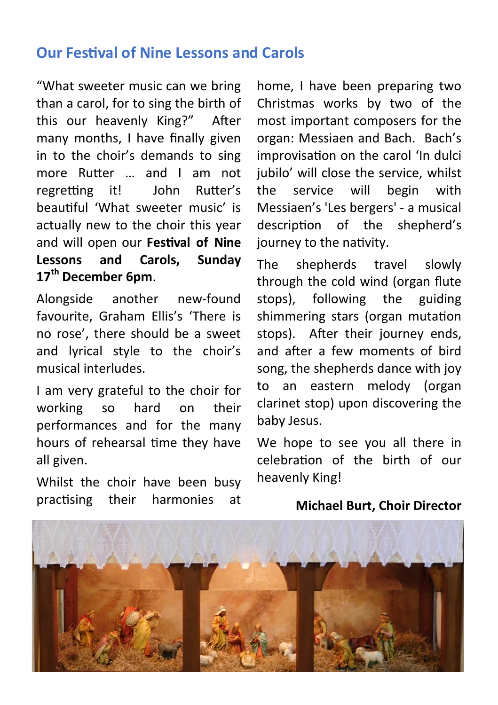## **Our Festival of Nine Lessons and Carols**

"What sweeter music can we bring than a carol, for to sing the birth of this our heavenly King?" After many months, I have finally given in to the choir's demands to sing more Rutter ... and I am not regretting it! John Rutter's beautiful 'What sweeter music' is actually new to the choir this year and will open our Festival of Nine **Lessons and Carols, Sunday 17th December 6pm**.

Alongside another new-found favourite, Graham Ellis's 'There is no rose', there should be a sweet and lyrical style to the choir's musical interludes.

I am very grateful to the choir for working so hard on their performances and for the many hours of rehearsal time they have all given.

Whilst the choir have been busy practising their harmonies at

home, I have been preparing two Christmas works by two of the most important composers for the organ: Messiaen and Bach. Bach's improvisation on the carol 'In dulci jubilo' will close the service, whilst the service will begin with Messiaen's 'Les bergers' - a musical description of the shepherd's journey to the nativity.

The shepherds travel slowly through the cold wind (organ flute stops), following the guiding shimmering stars (organ mutation stops). After their journey ends, and after a few moments of bird song, the shepherds dance with joy to an eastern melody (organ clarinet stop) upon discovering the baby Jesus.

We hope to see you all there in celebration of the birth of our heavenly King!

#### **Michael Burt, Choir Director**